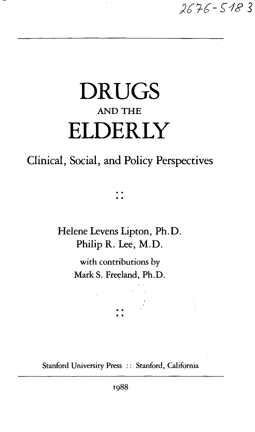$2676 - 5183$ 

# DRUGS AND THE ELDERLY

## Clinical, Social, and Policy Perspectives

Helene Levens Lipton, Ph.D. Philip R. Lee, M.D.

> with contributions by MarkS. Freeland, Ph.D.

Stanford University Press :: Stanford, California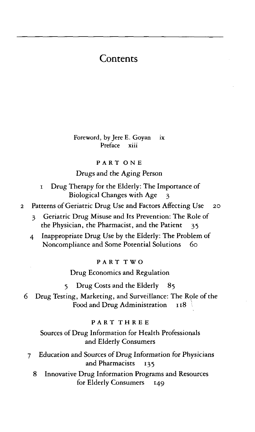### **Contents**

Foreword, by Jere E. Goyan ix Preface xiii

#### PART ON E

#### Drugs and the Aging Person

- i Drug Therapy for the Elderly: The Importance of Biological Changes with Age 3
- 2 Patterns of Geriatric Drug Use and Factors Affecting Use 20
	- 3 Geriatric Drug Misuse and Its Prevention: The Role of the Physician, the Pharmacist, and the Patient  $35$
	- 4 Inappropriate Drug Use by the Elderly: The Problem of Noncompliance and Some Potential Solutions 60

PART TWO

Drug Economics and Regulation

5 Drug Costs and the Elderly 85

6 Drug Testing, Marketing, and Surveillance: The Role of the Food and Drug Administration  $118$ 

#### PART THRE E

Sources of Drug Information for Health Professionals and Elderly Consumers

- 7 Education and Sources of Drug Information for Physicians and Pharmacists 135
	- 8 Innovative Drug Information Programs and Resources for Elderly Consumers 149